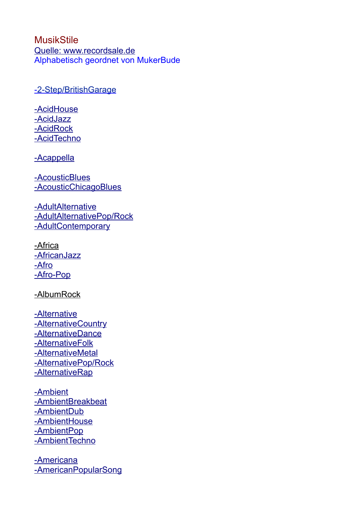**[MusikStile](http://www.recordsale.de/ger/php/Search.php?media=all&styletext=Adult%20Alternative%20Pop/Rock&style=57)**  [Quelle:](http://www.recordsale.de/ger/php/Search.php?media=all&styletext=Adult%20Alternative%20Pop/Rock&style=57) [www.recordsale.de](http://www.recordsale.de/) Alphabetisch geordnet von MukerBude

-2-Step/BritishGarage

 [-](http://www.recordsale.de/ger/php/Search.php?media=all&styletext=Adult%20Alternative%20Pop/Rock&style=57) [AcidHouse](http://www.recordsale.de/ger/php/Search.php?media=all&styletext=Acid%20House&style=302)  [-](http://www.recordsale.de/ger/php/Search.php?media=all&styletext=Adult%20Alternative%20Pop/Rock&style=57) [AcidJazz](http://www.recordsale.de/ger/php/Search.php?media=all&styletext=Acid%20Jazz&style=346)  [-](http://www.recordsale.de/ger/php/Search.php?media=all&styletext=Adult%20Alternative%20Pop/Rock&style=57) [AcidRock](http://www.recordsale.de/ger/php/Search.php?media=all&styletext=Acid%20Rock&style=254)  [-](http://www.recordsale.de/ger/php/Search.php?media=all&styletext=Adult%20Alternative%20Pop/Rock&style=57) [AcidTechno](http://www.recordsale.de/ger/php/Search.php?media=all&styletext=Acid%20Techno&style=710)

-Acappella

 [-](http://www.recordsale.de/ger/php/Search.php?media=all&styletext=Adult%20Alternative%20Pop/Rock&style=57) [AcousticBlues](http://www.recordsale.de/ger/php/Search.php?media=all&styletext=Acoustic%20Blues&style=482)  [-](http://www.recordsale.de/ger/php/Search.php?media=all&styletext=Adult%20Alternative%20Pop/Rock&style=57)[AcousticChicagoBlues](http://www.recordsale.de/ger/php/Search.php?media=all&styletext=Acoustic%20Chicago%20Blues&style=308)

-AdultAlternative  [-AdultAlternativePop/Rock](http://www.recordsale.de/ger/php/Search.php?media=all&styletext=Adult%20Alternative%20Pop/Rock&style=57)  [-](http://www.recordsale.de/ger/php/Search.php?media=all&styletext=Adult%20Alternative%20Pop/Rock&style=57) [AdultContemporary](http://www.recordsale.de/ger/php/Search.php?media=all&styletext=Adult%20Contemporary&style=145)

[-Africa](http://www.recordsale.de/ger/php/Search.php?media=all&styletext=Africa&style=181) -AfricanJazz -Afro  [-](http://www.recordsale.de/ger/php/Search.php?media=all&styletext=Adult%20Contemporary&style=145) [Afro-Pop](http://www.recordsale.de/ger/php/Search.php?media=all&styletext=Afro-Pop&style=180)

[-AlbumRock](http://www.recordsale.de/ger/php/Search.php?media=all&styletext=Album%20Rock&style=122)

- -Alternative  [-](http://www.recordsale.de/ger/php/Search.php?media=all&styletext=Adult%20Alternative%20Pop/Rock&style=57) [AlternativeCountry](http://www.recordsale.de/ger/php/Search.php?media=all&styletext=Alternative%20Country&style=491) -AlternativeDance  [-](http://www.recordsale.de/ger/php/Search.php?media=all&styletext=Adult%20Alternative%20Pop/Rock&style=57) [AlternativeFolk](http://www.recordsale.de/ger/php/Search.php?media=all&styletext=Alternative%20Folk&style=565)  [-](http://www.recordsale.de/ger/php/Search.php?media=all&styletext=Album%20Rock&style=122) [AlternativeMetal](http://www.recordsale.de/ger/php/Search.php?media=all&styletext=Alternative%20Metal&style=320)  [-](http://www.recordsale.de/ger/php/Search.php?media=all&styletext=Adult%20Alternative%20Pop/Rock&style=57) [AlternativePop/Rock](http://www.recordsale.de/ger/php/Search.php?media=all&styletext=Alternative%20Pop/Rock&style=59) -AlternativeRap
- [-](http://www.recordsale.de/ger/php/Search.php?media=all&styletext=Adult%20Alternative%20Pop/Rock&style=57) [Ambient](http://www.recordsale.de/ger/php/Search.php?media=all&styletext=Ambient&style=459)  [-](http://www.recordsale.de/ger/php/Search.php?media=all&styletext=Adult%20Alternative%20Pop/Rock&style=57) [AmbientBreakbeat](http://www.recordsale.de/ger/php/Search.php?media=all&styletext=Ambient%20Breakbeat&style=147)  [-](http://www.recordsale.de/ger/php/Search.php?media=all&styletext=Adult%20Alternative%20Pop/Rock&style=57) [AmbientDub](http://www.recordsale.de/ger/php/Search.php?media=all&styletext=Ambient%20Dub&style=467)  [-](http://www.recordsale.de/ger/php/Search.php?media=all&styletext=Adult%20Alternative%20Pop/Rock&style=57) [AmbientHouse](http://www.recordsale.de/ger/php/Search.php?media=all&styletext=Ambient%20House&style=638)  [-](http://www.recordsale.de/ger/php/Search.php?media=all&styletext=Australia&style=477) [AmbientPop](http://www.recordsale.de/ger/php/Search.php?media=all&styletext=Ambient%20Pop&style=393)  [-](http://www.recordsale.de/ger/php/Search.php?media=all&styletext=Australia&style=477) [AmbientTechno](http://www.recordsale.de/ger/php/Search.php?media=all&styletext=Ambient%20Techno&style=65)

 [-](http://www.recordsale.de/ger/php/Search.php?media=all&styletext=Australia&style=477) [Americana](http://www.recordsale.de/ger/php/Search.php?media=all&styletext=Americana&style=295)  [-](http://www.recordsale.de/ger/php/Search.php?media=all&styletext=Africa&style=181)[AmericanPopularSong](http://www.recordsale.de/ger/php/Search.php?media=all&styletext=American%20Popular%20Song&style=244)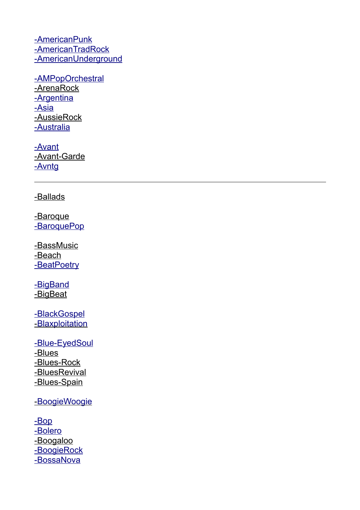[-](http://www.recordsale.de/ger/php/Search.php?media=all&styletext=Africa&style=181) [AmericanPunk](http://www.recordsale.de/ger/php/Search.php?media=all&styletext=American%20Punk&style=249)  [-](http://www.recordsale.de/ger/php/Search.php?media=all&styletext=Africa&style=181) [AmericanTradRock](http://www.recordsale.de/ger/php/Search.php?media=all&styletext=American%20Trad%20Rock&style=321)  [-](http://www.recordsale.de/ger/php/Search.php?media=all&styletext=Adult%20Alternative%20Pop/Rock&style=57)[AmericanUnderground](http://www.recordsale.de/ger/php/Search.php?media=all&styletext=American%20Underground&style=160)

-AMPopOrchestral -ArenaRock -Argentina -Asia [-AussieRock](http://www.recordsale.de/ger/php/Search.php?media=all&styletext=Aussie%20Rock&style=149)  [-](http://www.recordsale.de/ger/php/Search.php?media=all&styletext=Adult%20Alternative%20Pop/Rock&style=57) [Australia](http://www.recordsale.de/ger/php/Search.php?media=all&styletext=Australia&style=477)

 [-](http://www.recordsale.de/ger/php/Search.php?media=all&styletext=Adult%20Alternative%20Pop/Rock&style=57) [Avant](http://www.recordsale.de/ger/php/Search.php?media=all&styletext=Avant-Garde%20Jazz&style=473) [-Avant-Garde](http://www.recordsale.de/ger/php/Search.php?media=all&styletext=Avant-Garde&style=426) - Avntq

[- Ballads](http://www.recordsale.de/ger/php/Search.php?media=all&styletext=Ballads&style=240)

-Baroque -BaroquePop

 [- BassMusic](http://www.recordsale.de/ger/php/Search.php?media=all&styletext=Bass%20Music&style=900) -Beach -BeatPoetry

-BigBand  [-](http://www.recordsale.de/ger/php/Search.php?media=all&styletext=Big%20Band&style=237) [BigBeat](http://www.recordsale.de/ger/php/Search.php?media=all&styletext=Big%20Beat&style=415)

-BlackGospel -**Blaxploitation** 

-Blue-EyedSoul [-Blues](http://www.recordsale.de/ger/php/Search.php?media=all&styletext=Electric%20Chicago%20Blues&style=360) -Blues-Rock -BluesRevival -Blues-Spain

- [Boogie Woogie](http://www.recordsale.de/ger/php/Search.php?media=all&styletext=Boogie-Woogie&style=716)

 [-](http://www.recordsale.de/ger/php/Search.php?media=all&styletext=Beat%20Poetry&style=570) [Bop](http://www.recordsale.de/ger/php/Search.php?media=all&styletext=Bop&style=356)  [-](http://www.recordsale.de/ger/php/Search.php?media=all&styletext=British%20Folk-Rock&style=164) [Bolero](http://www.recordsale.de/ger/php/Search.php?media=all&styletext=Bolero&style=617) [-Boogaloo](http://www.recordsale.de/ger/php/Search.php?media=all&styletext=Boogaloo&style=944) -BoogieRock  [-](http://www.recordsale.de/ger/php/Search.php?media=all&styletext=British%20Folk-Rock&style=164) [BossaNova](http://www.recordsale.de/ger/php/Search.php?media=all&styletext=Bossa%20Nova&style=207)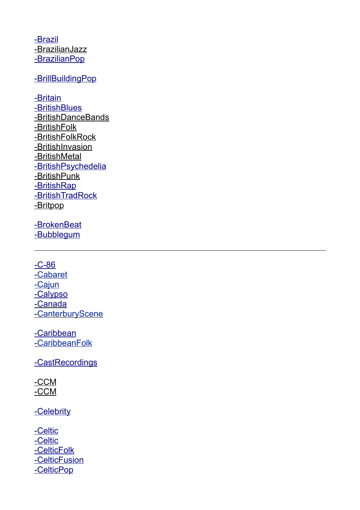[-](http://www.recordsale.de/ger/php/Search.php?media=all&styletext=Beach&style=954) [Brazil](http://www.recordsale.de/ger/php/Search.php?media=all&styletext=Brazil&style=205) [- BrazilianJazz](http://www.recordsale.de/ger/php/Search.php?media=all&styletext=Brazilian%20Jazz&style=204)  [-](http://www.recordsale.de/ger/php/Search.php?media=all&styletext=Beach&style=954) [BrazilianPop](http://www.recordsale.de/ger/php/Search.php?media=all&styletext=Brazilian%20Pop&style=206)

### [-](http://www.recordsale.de/ger/php/Search.php?media=all&styletext=British%20Folk-Rock&style=164) [BrillBuildingPop](http://www.recordsale.de/ger/php/Search.php?media=all&styletext=Brill%20Building%20Pop&style=299)

 [-](http://www.recordsale.de/ger/php/Search.php?media=all&styletext=Beat%20Poetry&style=570) [Britain](http://www.recordsale.de/ger/php/Search.php?media=all&styletext=Britain&style=329)  [-](http://www.recordsale.de/ger/php/Search.php?media=all&styletext=Beach&style=954) [BritishBlues](http://www.recordsale.de/ger/php/Search.php?media=all&styletext=British%20Blues&style=172) [- BritishDanceBands](http://www.recordsale.de/ger/php/Search.php?media=all&styletext=British%20Dance%20Bands&style=403) -BritishFolk - British Folk Rock - British Invasion  [-](http://www.recordsale.de/ger/php/Search.php?media=all&styletext=British%20Folk-Rock&style=164) [BritishMetal](http://www.recordsale.de/ger/php/Search.php?media=all&styletext=British%20Metal&style=247) -BritishPsychedelia  [-](http://www.recordsale.de/ger/php/Search.php?media=all&styletext=Bubblegum&style=325) [BritishPunk](http://www.recordsale.de/ger/php/Search.php?media=all&styletext=British%20Punk&style=675) -BritishRap -**BritishTradRock**  [-](http://www.recordsale.de/ger/php/Search.php?media=all&styletext=British%20Folk-Rock&style=164) [Britpop](http://www.recordsale.de/ger/php/Search.php?media=all&styletext=Britpop&style=257)

-BrokenBeat -Bubblegum

 $-C - 86$  $-C - 86$  $-C - 86$  [-](http://www.recordsale.de/ger/php/Search.php?media=all&styletext=C-86&style=542) [Cabaret](http://www.recordsale.de/ger/php/Search.php?media=all&styletext=Cabaret&style=355) [-Cajun](http://www.recordsale.de/ger/php/Search.php?media=all&styletext=Cajun&style=469)  [-](http://www.recordsale.de/ger/php/Search.php?media=all&styletext=Bubblegum&style=325) [Calypso](http://www.recordsale.de/ger/php/Search.php?media=all&styletext=Calypso&style=691) [- Canada](http://www.recordsale.de/ger/php/Search.php?media=all&styletext=Canada&style=639) - Canterbury Scene

-Caribbean - Caribbean Folk

-CastRecordings

[-CCM](http://www.recordsale.de/ger/php/Search.php?media=all&styletext=CCM&style=175) [-CCM](http://www.recordsale.de/ger/php/Search.php?media=all&styletext=Alternative%20CCM&style=820)

- [Celebrity](http://www.recordsale.de/ger/php/Search.php?media=all&styletext=Celebrity&style=291)

-Celtic  [-](http://www.recordsale.de/ger/php/Search.php?media=all&styletext=Bubblegum&style=325) [Celtic](http://www.recordsale.de/ger/php/Search.php?media=all&styletext=Celtic&style=313) - [CelticFolk](http://www.recordsale.de/ger/php/Search.php?media=all&styletext=Celtic%20Folk&style=397)  [-](http://www.recordsale.de/ger/php/Search.php?media=all&styletext=Celtic%20Folk&style=397) [CelticFusion](http://www.recordsale.de/ger/php/Search.php?media=all&styletext=Celtic%20Fusion&style=704) - Celtic Pop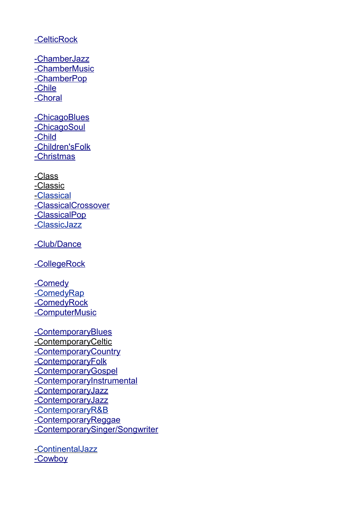#### - [CelticRock](http://www.recordsale.de/ger/php/Search.php?media=all&styletext=Celtic%20Rock&style=889)

- Chamber Jazz  [-](http://www.recordsale.de/ger/php/Search.php?media=all&styletext=Bubblegum&style=325) [ChamberMusic](http://www.recordsale.de/ger/php/Search.php?media=all&styletext=Chamber%20Music&style=571) - [ChamberPop](http://www.recordsale.de/ger/php/Search.php?media=all&styletext=Chamber%20Pop&style=667)  [-](http://www.recordsale.de/ger/php/Search.php?media=all&styletext=Bubblegum&style=325) [Chile](http://www.recordsale.de/ger/php/Search.php?media=all&styletext=Chile&style=579)  [-](http://www.recordsale.de/ger/php/Search.php?media=all&styletext=Bubblegum&style=325) [Choral](http://www.recordsale.de/ger/php/Search.php?media=all&styletext=Choral&style=642)

 [-](http://www.recordsale.de/ger/php/Search.php?media=all&styletext=Bubblegum&style=325) [ChicagoBlues](http://www.recordsale.de/ger/php/Search.php?media=all&styletext=Chicago%20Blues&style=535) -ChicagoSoul  [-](http://www.recordsale.de/ger/php/Search.php?media=all&styletext=Bubblegum&style=325) [Child](http://www.recordsale.de/ger/php/Search.php?media=all&styletext=Child&style=543)  [-](http://www.recordsale.de/ger/php/Search.php?media=all&styletext=Bubblegum&style=325) [Children'sFolk](http://www.recordsale.de/ger/php/Search.php?media=all&styletext=Children)  [-](http://www.recordsale.de/ger/php/Search.php?media=all&styletext=Bubblegum&style=325) [Christmas](http://www.recordsale.de/ger/php/Search.php?media=all&styletext=Christmas&style=508)

[-Class](http://www.recordsale.de/ger/php/Search.php?media=all&styletext=Class&style=165) [-Classic](http://www.recordsale.de/ger/php/Search.php?media=all&styletext=Classic%20Female%20Blues&style=358)  [-](http://www.recordsale.de/ger/php/Search.php?media=all&styletext=Classic%20Female%20Blues&style=358) [Classical](http://www.recordsale.de/ger/php/Search.php?media=all&styletext=Classical&style=456)  [-](http://www.recordsale.de/ger/php/Search.php?media=all&styletext=Bubblegum&style=325) [ClassicalCrossover](http://www.recordsale.de/ger/php/Search.php?media=all&styletext=Classical%20Crossover&style=490)  [-](http://www.recordsale.de/ger/php/Search.php?media=all&styletext=Bubblegum&style=325) [ClassicalPop](http://www.recordsale.de/ger/php/Search.php?media=all&styletext=Classical%20Pop&style=876) -ClassicJazz

-Club/Dance

 [-](http://www.recordsale.de/ger/php/Search.php?media=all&styletext=Bubblegum&style=325) [CollegeRock](http://www.recordsale.de/ger/php/Search.php?media=all&styletext=College%20Rock&style=300)

- [Comedy](http://www.recordsale.de/ger/php/Search.php?media=all&styletext=Comedy&style=351) [-ComedyRap](http://www.recordsale.de/ger/php/Search.php?media=all&styletext=Comedy%20Rap&style=788) - Comedy Rock  [-](http://www.recordsale.de/ger/php/Search.php?media=all&styletext=Bubblegum&style=325) [ComputerMusic](http://www.recordsale.de/ger/php/Search.php?media=all&styletext=Computer%20Music&style=386)

 [-](http://www.recordsale.de/ger/php/Search.php?media=all&styletext=Bubblegum&style=325) [ContemporaryBlues](http://www.recordsale.de/ger/php/Search.php?media=all&styletext=Contemporary%20Blues&style=462) [-ContemporaryCeltic](http://www.recordsale.de/ger/php/Search.php?media=all&styletext=Contemporary%20Celtic&style=367)  [-](http://www.recordsale.de/ger/php/Search.php?media=all&styletext=Bubblegum&style=325) [ContemporaryCountry](http://www.recordsale.de/ger/php/Search.php?media=all&styletext=Contemporary%20Country&style=668)  [-](http://www.recordsale.de/ger/php/Search.php?media=all&styletext=Bubblegum&style=325) [ContemporaryFolk](http://www.recordsale.de/ger/php/Search.php?media=all&styletext=Contemporary%20Folk&style=272)  [-](http://www.recordsale.de/ger/php/Search.php?media=all&styletext=Bubblegum&style=325)[ContemporaryGospel](http://www.recordsale.de/ger/php/Search.php?media=all&styletext=Contemporary%20Gospel&style=450)  [-](http://www.recordsale.de/ger/php/Search.php?media=all&styletext=Bubblegum&style=325)[ContemporaryInstrumental](http://www.recordsale.de/ger/php/Search.php?media=all&styletext=Contemporary%20Instrumental&style=368)  [-](http://www.recordsale.de/ger/php/Search.php?media=all&styletext=Club/Dance&style=39) [ContemporaryJazz](http://www.recordsale.de/ger/php/Search.php?media=all&styletext=Contemporary%20Jazz&style=51)  [-](http://www.recordsale.de/ger/php/Search.php?media=all&styletext=Club/Dance&style=39) [ContemporaryJazz](http://www.recordsale.de/ger/php/Search.php?media=all&styletext=Contemporary%20Jazz&style=51)  [-](http://www.recordsale.de/ger/php/Search.php?media=all&styletext=Bubblegum&style=325) [ContemporaryR&B](http://www.recordsale.de/ger/php/Search.php?media=all&styletext=Contemporary%20R&B&style=132)  [-](http://www.recordsale.de/ger/php/Search.php?media=all&styletext=Bubblegum&style=325)[ContemporaryReggae](http://www.recordsale.de/ger/php/Search.php?media=all&styletext=Contemporary%20Reggae&style=352)  [-](http://www.recordsale.de/ger/php/Search.php?media=all&styletext=Bubblegum&style=325)[ContemporarySinger/Songwriter](http://www.recordsale.de/ger/php/Search.php?media=all&styletext=Contemporary%20Singer/Songwriter&style=271)

 [-](http://www.recordsale.de/ger/php/Search.php?media=all&styletext=Contemporary%20Reggae&style=352) [ContinentalJazz](http://www.recordsale.de/ger/php/Search.php?media=all&styletext=Continental%20Jazz&style=862) -Cowboy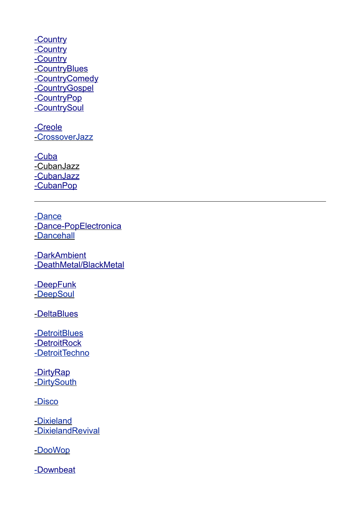-Country -Country -Country - Country Blues -CountryComedy -CountryGospel -Country Pop -Country Soul

-Creole [- CrossoverJazz](http://www.recordsale.de/ger/php/Search.php?media=all&styletext=Crossover%20Jazz&style=170)

 [-](http://www.recordsale.de/ger/php/Search.php?media=all&styletext=Bubblegum&style=325) [Cuba](http://www.recordsale.de/ger/php/Search.php?media=all&styletext=Cuba&style=619) [-CubanJazz](http://www.recordsale.de/ger/php/Search.php?media=all&styletext=Afro-Cuban%20Jazz&style=916)  [-](http://www.recordsale.de/ger/php/Search.php?media=all&styletext=Afro-Cuban%20Jazz&style=916) [CubanJazz](http://www.recordsale.de/ger/php/Search.php?media=all&styletext=Cuban%20Jazz&style=948) -CubanPop

[-Dance](http://www.recordsale.de/ger/php/Search.php?media=all&styletext=Industrial%20Dance&style=533) -Dance-PopElectronica [- Dancehall](http://www.recordsale.de/ger/php/Search.php?media=all&styletext=Dancehall&style=411)

 [-](http://www.recordsale.de/ger/php/Search.php?media=all&styletext=Dancehall&style=411) [DarkAmbient](http://www.recordsale.de/ger/php/Search.php?media=all&styletext=Dark%20Ambient&style=214)  [-](http://www.recordsale.de/ger/php/Search.php?media=all&styletext=Dancehall&style=411)[DeathMetal/BlackMetal](http://www.recordsale.de/ger/php/Search.php?media=all&styletext=Death%20Metal/Black%20Metal&style=576)

-DeepFunk [- DeepSoul](http://www.recordsale.de/ger/php/Search.php?media=all&styletext=Deep%20Soul&style=184)

[- DeltaBlues](http://www.recordsale.de/ger/php/Search.php?media=all&styletext=Delta%20Blues&style=480)

-DetroitBlues -DetroitRock [-DetroitTechno](http://www.recordsale.de/ger/php/Search.php?media=all&styletext=Detroit%20Techno&style=526)

 [-](http://www.recordsale.de/ger/php/Search.php?media=all&styletext=Detroit%20Rock&style=423) [DirtyRap](http://www.recordsale.de/ger/php/Search.php?media=all&styletext=Dirty%20Rap&style=803) -DirtySouth

[- Disco](http://www.recordsale.de/ger/php/Search.php?media=all&styletext=Disco&style=40)

 [- Dixieland](http://www.recordsale.de/ger/php/Search.php?media=all&styletext=Dixieland&style=402) [- DixielandRevival](http://www.recordsale.de/ger/php/Search.php?media=all&styletext=Dixieland%20Revival&style=819)

[- DooWop](http://www.recordsale.de/ger/php/Search.php?media=all&styletext=Doo%20Wop&style=460)

[- Downbeat](http://www.recordsale.de/ger/php/Search.php?media=all&styletext=Downbeat&style=658)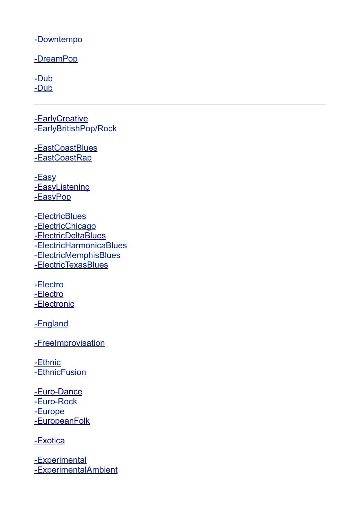[-Downtempo](http://www.recordsale.de/ger/php/Search.php?media=all&styletext=Downtempo&style=795)

-DreamPop

 [- Dub](http://www.recordsale.de/ger/php/Search.php?media=all&styletext=Dub&style=463) [-Dub](http://www.recordsale.de/ger/php/Search.php?media=all&styletext=Techno-Dub&style=779)

-EarlyCreative [- EarlyBritishPop/Rock](http://www.recordsale.de/ger/php/Search.php?media=all&styletext=Early%20British%20Pop/Rock&style=316)

-EastCoastBlues -EastCoastRap

-Easy -EasyListening [- EasyPop](http://www.recordsale.de/ger/php/Search.php?media=all&styletext=Easy%20Pop&style=440)

 [- ElectricBlues](http://www.recordsale.de/ger/php/Search.php?media=all&styletext=Electric%20Blues&style=261) -ElectricChicago [-ElectricDeltaBlues](http://www.recordsale.de/ger/php/Search.php?media=all&styletext=Electric%20Delta%20Blues&style=481)  [-](http://www.recordsale.de/ger/php/Search.php?media=all&styletext=Electric%20Delta%20Blues&style=481) [ElectricHarmonicaBlues](http://www.recordsale.de/ger/php/Search.php?media=all&styletext=Electric%20Harmonica%20Blues&style=733) [-ElectricMemphisBlues](http://www.recordsale.de/ger/php/Search.php?media=all&styletext=Electric%20Memphis%20Blues&style=924) [- ElectricTexasBlues](http://www.recordsale.de/ger/php/Search.php?media=all&styletext=Electric%20Texas%20Blues&style=275)

[-Electro](http://www.recordsale.de/ger/php/Search.php?media=all&styletext=Electro&style=430) -Electro - [Electronic](http://www.recordsale.de/ger/php/Search.php?media=all&styletext=Electronic&style=303)

[-England](http://www.recordsale.de/ger/php/Search.php?media=all&styletext=England&style=510)

[- FreeImprovisation](http://www.recordsale.de/ger/php/Search.php?media=all&styletext=Free%20Improvisation&style=498)

-Ethnic - Ethnic Fusion

-Euro-Dance [-Euro-Rock](http://www.recordsale.de/ger/php/Search.php?media=all&styletext=Euro-Rock&style=311) -Europe  [-](http://www.recordsale.de/ger/php/Search.php?media=all&styletext=Europe&style=331) [EuropeanFolk](http://www.recordsale.de/ger/php/Search.php?media=all&styletext=European%20Folk&style=436)

 [-](http://www.recordsale.de/ger/php/Search.php?media=all&styletext=Europe&style=331) [Exotica](http://www.recordsale.de/ger/php/Search.php?media=all&styletext=Exotica&style=903)

 [- Experimental](http://www.recordsale.de/ger/php/Search.php?media=all&styletext=Experimental&style=215) [-ExperimentalAmbient](http://www.recordsale.de/ger/php/Search.php?media=all&styletext=Experimental%20Ambient&style=212)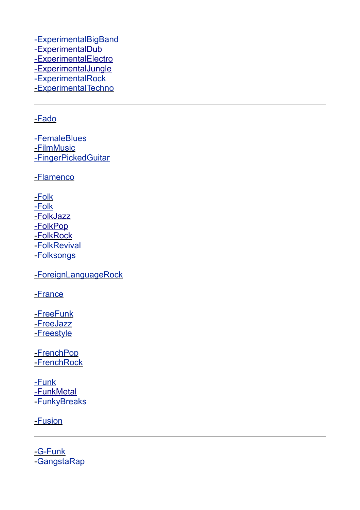[-ExperimentalBigBand](http://www.recordsale.de/ger/php/Search.php?media=all&styletext=Experimental%20Big%20Band&style=982)  [-](http://www.recordsale.de/ger/php/Search.php?media=all&styletext=Experimental%20Rock&style=213) [ExperimentalDub](http://www.recordsale.de/ger/php/Search.php?media=all&styletext=Experimental%20Dub&style=575)  [-](http://www.recordsale.de/ger/php/Search.php?media=all&styletext=Experimental%20Rock&style=213) [ExperimentalElectro](http://www.recordsale.de/ger/php/Search.php?media=all&styletext=Experimental%20Electro&style=644) -ExperimentalJungle [-ExperimentalRock](http://www.recordsale.de/ger/php/Search.php?media=all&styletext=Experimental%20Rock&style=213) - Experimental Techno

### [- Fado](http://www.recordsale.de/ger/php/Search.php?media=all&styletext=Fado&style=61)

[-FemaleBlues](http://www.recordsale.de/ger/php/Search.php?media=all&styletext=Classic%20Female%20Blues&style=358) -**FilmMusic** [-FingerPickedGuitar](http://www.recordsale.de/ger/php/Search.php?media=all&styletext=Finger-Picked%20Guitar&style=504)

[- Flamenco](http://www.recordsale.de/ger/php/Search.php?media=all&styletext=Flamenco&style=471)

 [- Folk](http://www.recordsale.de/ger/php/Search.php?media=all&styletext=Folk-Blues&style=566) [-Folk](http://www.recordsale.de/ger/php/Search.php?media=all&styletext=Country-Folk&style=584) [- Folk Jazz](http://www.recordsale.de/ger/php/Search.php?media=all&styletext=Folk-Jazz&style=489) - [Folk Pop](http://www.recordsale.de/ger/php/Search.php?media=all&styletext=Folk-Pop&style=447) [- Folk Rock](http://www.recordsale.de/ger/php/Search.php?media=all&styletext=Folk-Rock&style=227) [- FolkRevival](http://www.recordsale.de/ger/php/Search.php?media=all&styletext=Folk%20Revival&style=377) [- Folksongs](http://www.recordsale.de/ger/php/Search.php?media=all&styletext=Folksongs&style=376)

[- ForeignLanguageRock](http://www.recordsale.de/ger/php/Search.php?media=all&styletext=Foreign%20Language%20Rock&style=534)

[- France](http://www.recordsale.de/ger/php/Search.php?media=all&styletext=France&style=354)

 [- FreeFunk](http://www.recordsale.de/ger/php/Search.php?media=all&styletext=Free%20Funk&style=723) [- FreeJazz](http://www.recordsale.de/ger/php/Search.php?media=all&styletext=Free%20Jazz&style=310) -Freestyle

 [- FrenchPop](http://www.recordsale.de/ger/php/Search.php?media=all&styletext=French%20Pop&style=322) [- FrenchRock](http://www.recordsale.de/ger/php/Search.php?media=all&styletext=French%20Rock&style=817)

[-Funk](http://www.recordsale.de/ger/php/Search.php?media=all&styletext=Funk&style=193)  [-](http://www.recordsale.de/ger/php/Search.php?media=all&styletext=Funk&style=193) [FunkMetal](http://www.recordsale.de/ger/php/Search.php?media=all&styletext=Funk%20Metal&style=253) - Funky Breaks

[- Fusion](http://www.recordsale.de/ger/php/Search.php?media=all&styletext=Fusion&style=44)

-G-Funk [- GangstaRap](http://www.recordsale.de/ger/php/Search.php?media=all&styletext=Gangsta%20Rap&style=130)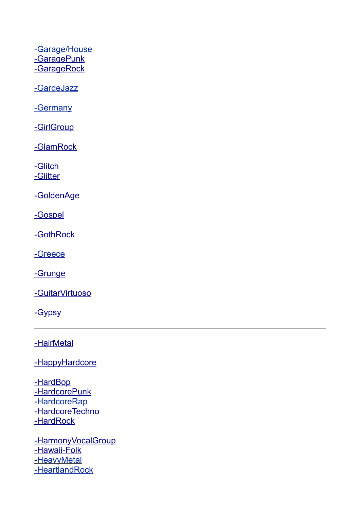[-Garage/House](http://www.recordsale.de/ger/php/Search.php?media=all&styletext=Garage/House&style=38)  [-](http://www.recordsale.de/ger/php/Search.php?media=all&styletext=Garage/House&style=38) [GaragePunk](http://www.recordsale.de/ger/php/Search.php?media=all&styletext=Garage%20Punk&style=682) -GarageRock

[-GardeJazz](http://www.recordsale.de/ger/php/Search.php?media=all&styletext=Avant-Garde%20Jazz&style=473)

[-Germany](http://www.recordsale.de/ger/php/Search.php?media=all&styletext=Germany&style=255)

-GirlGroup

 [-](http://www.recordsale.de/ger/php/Search.php?media=all&styletext=Garage/House&style=38) [GlamRock](http://www.recordsale.de/ger/php/Search.php?media=all&styletext=Glam%20Rock&style=293)

-Glitch -Glitter

 [-](http://www.recordsale.de/ger/php/Search.php?media=all&styletext=Garage/House&style=38) [GoldenAge](http://www.recordsale.de/ger/php/Search.php?media=all&styletext=Golden%20Age&style=223)

 [-](http://www.recordsale.de/ger/php/Search.php?media=all&styletext=Garage/House&style=38) [Gospel](http://www.recordsale.de/ger/php/Search.php?media=all&styletext=Gospel&style=176)

 [-](http://www.recordsale.de/ger/php/Search.php?media=all&styletext=Garage/House&style=38) [GothRock](http://www.recordsale.de/ger/php/Search.php?media=all&styletext=Goth%20Rock&style=66)

 [-](http://www.recordsale.de/ger/php/Search.php?media=all&styletext=Goth%20Rock&style=66) [Greece](http://www.recordsale.de/ger/php/Search.php?media=all&styletext=Greece&style=332)

-Grunge

- Guitar Virtuoso

-Gypsy

 [-](http://www.recordsale.de/ger/php/Search.php?media=all&styletext=Garage/House&style=38) [HairMetal](http://www.recordsale.de/ger/php/Search.php?media=all&styletext=Hair%20Metal&style=281)

-HappyHardcore

-HardBop -HardcorePunk [-HardcoreRap](http://www.recordsale.de/ger/php/Search.php?media=all&styletext=Hardcore%20Rap&style=129) -HardcoreTechno  [-](http://www.recordsale.de/ger/php/Search.php?media=all&styletext=Garage/House&style=38) [HardRock](http://www.recordsale.de/ger/php/Search.php?media=all&styletext=Hard%20Rock&style=64)

-HarmonyVocalGroup -Hawaii-Folk [- HeavyMetal](http://www.recordsale.de/ger/php/Search.php?media=all&styletext=Heavy%20Metal&style=63) [-HeartlandRock](http://www.recordsale.de/ger/php/Search.php?media=all&styletext=Heartland%20Rock&style=290)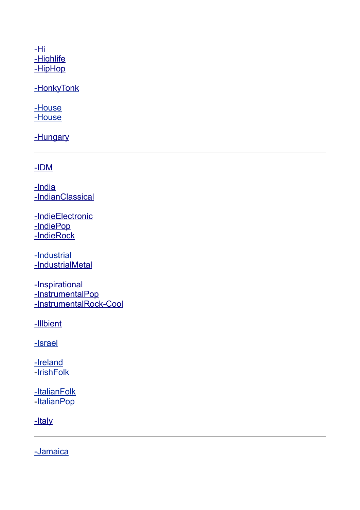$-Hi$ -Highlife -HipHop

-HonkyTonk

[-House](http://www.recordsale.de/ger/php/Search.php?media=all&styletext=House&style=125) [-House](http://www.recordsale.de/ger/php/Search.php?media=all&styletext=Jazz-House&style=190)

-Hungary

 [-](http://www.recordsale.de/ger/php/Search.php?media=all&styletext=Garage/House&style=38) [IDM](http://www.recordsale.de/ger/php/Search.php?media=all&styletext=IDM&style=189)

-India -IndianClassical

-IndieElectronic  [-](http://www.recordsale.de/ger/php/Search.php?media=all&styletext=India&style=548) [IndiePop](http://www.recordsale.de/ger/php/Search.php?media=all&styletext=Indie%20Pop&style=256)  [-](http://www.recordsale.de/ger/php/Search.php?media=all&styletext=Garage/House&style=38) [IndieRock](http://www.recordsale.de/ger/php/Search.php?media=all&styletext=Indie%20Rock&style=106)

[-Industrial](http://www.recordsale.de/ger/php/Search.php?media=all&styletext=Industrial&style=67) -IndustrialMetal

-Inspirational  [-](http://www.recordsale.de/ger/php/Search.php?media=all&styletext=Inspirational&style=692) [InstrumentalPop](http://www.recordsale.de/ger/php/Search.php?media=all&styletext=Instrumental%20Pop&style=211)  [-](http://www.recordsale.de/ger/php/Search.php?media=all&styletext=Garage/House&style=38) [InstrumentalRock](http://www.recordsale.de/ger/php/Search.php?media=all&styletext=Instrumental%20Rock&style=552) [-](http://www.recordsale.de/ger/php/Search.php?media=all&styletext=Garage/House&style=38) [Cool](http://www.recordsale.de/ger/php/Search.php?media=all&styletext=Cool&style=554)

-Illbient

[-Israel](http://www.recordsale.de/ger/php/Search.php?media=all&styletext=Israel&style=373)

[-Ireland](http://www.recordsale.de/ger/php/Search.php?media=all&styletext=Ireland&style=400) [- IrishFolk](http://www.recordsale.de/ger/php/Search.php?media=all&styletext=Irish%20Folk&style=399)

[-ItalianFolk](http://www.recordsale.de/ger/php/Search.php?media=all&styletext=Italian%20Folk&style=34) -ItalianPop

-Italy

[-Jamaica](http://www.recordsale.de/ger/php/Search.php?media=all&styletext=Jamaica&style=267)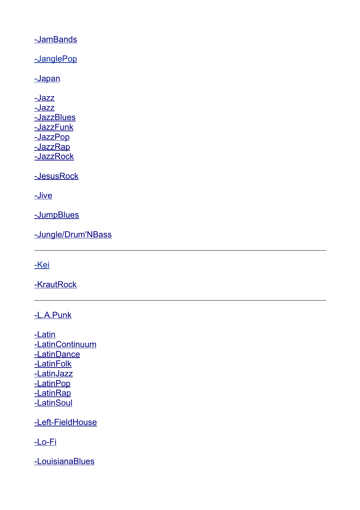[-](http://www.recordsale.de/ger/php/Search.php?media=all&styletext=Garage/House&style=38) [JamBands](http://www.recordsale.de/ger/php/Search.php?media=all&styletext=Jam%20Bands&style=234)

[-JanglePop](http://www.recordsale.de/ger/php/Search.php?media=all&styletext=Jangle%20Pop&style=216)

-Japan

 [-](http://www.recordsale.de/ger/php/Search.php?media=all&styletext=Garage/House&style=38) [Jazz](http://www.recordsale.de/ger/php/Search.php?media=all&styletext=Jazz&style=46)  [-](http://www.recordsale.de/ger/php/Search.php?media=all&styletext=Garage/House&style=38) [Jazz](http://www.recordsale.de/ger/php/Search.php?media=all&styletext=Jazz-House&style=190) -JazzBlues -JazzFunk  [-](http://www.recordsale.de/ger/php/Search.php?media=all&styletext=Jazz%20Blues&style=549) [JazzPop](http://www.recordsale.de/ger/php/Search.php?media=all&styletext=Jazz-Pop&style=246) -JazzRap  [-](http://www.recordsale.de/ger/php/Search.php?media=all&styletext=Garage/House&style=38) [Jazz Rock](http://www.recordsale.de/ger/php/Search.php?media=all&styletext=Jazz-Rock&style=43)

 [-](http://www.recordsale.de/ger/php/Search.php?media=all&styletext=Garage/House&style=38) [JesusRock](http://www.recordsale.de/ger/php/Search.php?media=all&styletext=Jesus%20Rock&style=517)

 [-](http://www.recordsale.de/ger/php/Search.php?media=all&styletext=Garage/House&style=38) [Jive](http://www.recordsale.de/ger/php/Search.php?media=all&styletext=Jive&style=1020)

- [JumpBlues](http://www.recordsale.de/ger/php/Search.php?media=all&styletext=Jump%20Blues&style=483)

 [-](http://www.recordsale.de/ger/php/Search.php?media=all&styletext=Jump%20Blues&style=483) [Jungle/Drum'NBass](http://www.recordsale.de/ger/php/Search.php?media=all&styletext=Jungle/Drum)

[-Kei](http://www.recordsale.de/ger/php/Search.php?media=all&styletext=Shibuya-Kei&style=464)

-KrautRock

 [-](http://www.recordsale.de/ger/php/Search.php?media=all&styletext=Garage/House&style=38) [L.A.Punk](http://www.recordsale.de/ger/php/Search.php?media=all&styletext=L.A.%20Punk&style=678)

 [-](http://www.recordsale.de/ger/php/Search.php?media=all&styletext=Garage/House&style=38) [Latin](http://www.recordsale.de/ger/php/Search.php?media=all&styletext=Latin&style=183)  [-](http://www.recordsale.de/ger/php/Search.php?media=all&styletext=Garage/House&style=38) [LatinContinuum](http://www.recordsale.de/ger/php/Search.php?media=all&styletext=Latin%20Continuum&style=163)  [-](http://www.recordsale.de/ger/php/Search.php?media=all&styletext=Latin%20Continuum&style=163) [LatinDance](http://www.recordsale.de/ger/php/Search.php?media=all&styletext=Latin%20Dance&style=589) -LatinFolk -LatinJazz -LatinPop -LatinRap -LatinSoul

-Left-FieldHouse

 [-](http://www.recordsale.de/ger/php/Search.php?media=all&styletext=Garage/House&style=38) [Lo-Fi](http://www.recordsale.de/ger/php/Search.php?media=all&styletext=Lo-Fi&style=231)

 [-](http://www.recordsale.de/ger/php/Search.php?media=all&styletext=Garage/House&style=38) [LouisianaBlues](http://www.recordsale.de/ger/php/Search.php?media=all&styletext=Louisiana%20Blues&style=794)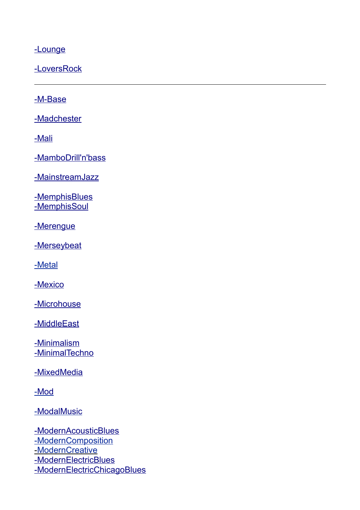-Lounge

-LoversRock

 [-](http://www.recordsale.de/ger/php/Search.php?media=all&styletext=Garage/House&style=38) [M-Base](http://www.recordsale.de/ger/php/Search.php?media=all&styletext=M-Base&style=287)

-Madchester

 [-](http://www.recordsale.de/ger/php/Search.php?media=all&styletext=Garage/House&style=38) [Mali](http://www.recordsale.de/ger/php/Search.php?media=all&styletext=Mali&style=610)

-MamboDrill'n'bass

 [-](http://www.recordsale.de/ger/php/Search.php?media=all&styletext=Garage/House&style=38) [MainstreamJazz](http://www.recordsale.de/ger/php/Search.php?media=all&styletext=Mainstream%20Jazz&style=560)

-MemphisBlues -MemphisSoul

-Merengue

-Merseybeat

[-Metal](http://www.recordsale.de/ger/php/Search.php?media=all&styletext=Rap-Metal&style=496)

 [-](http://www.recordsale.de/ger/php/Search.php?media=all&styletext=Garage/House&style=38) [Mexico](http://www.recordsale.de/ger/php/Search.php?media=all&styletext=Mexico&style=210)

-Microhouse

 [-](http://www.recordsale.de/ger/php/Search.php?media=all&styletext=Garage/House&style=38) [MiddleEast](http://www.recordsale.de/ger/php/Search.php?media=all&styletext=Middle%20East&style=372)

-Minimalism -MinimalTechno

-MixedMedia

[- Mod](http://www.recordsale.de/ger/php/Search.php?media=all&styletext=Mod&style=713)

[- ModalMusic](http://www.recordsale.de/ger/php/Search.php?media=all&styletext=Modal%20Music&style=431)

 [-](http://www.recordsale.de/ger/php/Search.php?media=all&styletext=Garage/House&style=38) [ModernAcousticBlues](http://www.recordsale.de/ger/php/Search.php?media=all&styletext=Modern%20Acoustic%20Blues&style=568) [-ModernComposition](http://www.recordsale.de/ger/php/Search.php?media=all&styletext=Modern%20Composition&style=304) -ModernCreative  [-](http://www.recordsale.de/ger/php/Search.php?media=all&styletext=Garage/House&style=38) [ModernElectricBlues](http://www.recordsale.de/ger/php/Search.php?media=all&styletext=Modern%20Electric%20Blues&style=196)  [-](http://www.recordsale.de/ger/php/Search.php?media=all&styletext=Garage/House&style=38)[ModernElectricChicagoBlues](http://www.recordsale.de/ger/php/Search.php?media=all&styletext=Modern%20Electric%20Chicago%20Blues&style=604)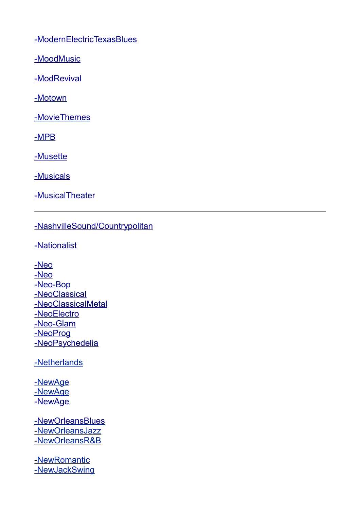[-](http://www.recordsale.de/ger/php/Search.php?media=all&styletext=Garage/House&style=38) [ModernElectricTexasBlues](http://www.recordsale.de/ger/php/Search.php?media=all&styletext=Modern%20Electric%20Texas%20Blues&style=476)

 [-](http://www.recordsale.de/ger/php/Search.php?media=all&styletext=Garage/House&style=38) [MoodMusic](http://www.recordsale.de/ger/php/Search.php?media=all&styletext=Mood%20Music&style=874)

 [-](http://www.recordsale.de/ger/php/Search.php?media=all&styletext=Mood%20Music&style=874) [ModRevival](http://www.recordsale.de/ger/php/Search.php?media=all&styletext=Mod%20Revival&style=671)

[- Motown](http://www.recordsale.de/ger/php/Search.php?media=all&styletext=Motown&style=335)

[- MovieThemes](http://www.recordsale.de/ger/php/Search.php?media=all&styletext=Movie%20Themes&style=724)

[- MPB](http://www.recordsale.de/ger/php/Search.php?media=all&styletext=MPB&style=646)

 [-](http://www.recordsale.de/ger/php/Search.php?media=all&styletext=Garage/House&style=38) [Musette](http://www.recordsale.de/ger/php/Search.php?media=all&styletext=Musette&style=539)

 [-](http://www.recordsale.de/ger/php/Search.php?media=all&styletext=Garage/House&style=38) [Musicals](http://www.recordsale.de/ger/php/Search.php?media=all&styletext=Musicals&style=177)

 [-](http://www.recordsale.de/ger/php/Search.php?media=all&styletext=Garage/House&style=38) [MusicalTheater](http://www.recordsale.de/ger/php/Search.php?media=all&styletext=Musical%20Theater&style=663)

# -NashvilleSound/Countrypolitan

 [-](http://www.recordsale.de/ger/php/Search.php?media=all&styletext=Madchester&style=564) [Nationalist](http://www.recordsale.de/ger/php/Search.php?media=all&styletext=Nationalist&style=458)

 [-](http://www.recordsale.de/ger/php/Search.php?media=all&styletext=Madchester&style=564) [Neo](http://www.recordsale.de/ger/php/Search.php?media=all&styletext=Neo-Soul&style=500)  [-](http://www.recordsale.de/ger/php/Search.php?media=all&styletext=Madchester&style=564) [Neo](http://www.recordsale.de/ger/php/Search.php?media=all&styletext=Neo-Traditional%20Folk&style=635)  [-](http://www.recordsale.de/ger/php/Search.php?media=all&styletext=Madchester&style=564) [Neo-Bop](http://www.recordsale.de/ger/php/Search.php?media=all&styletext=Neo-Bop&style=289)  [-](http://www.recordsale.de/ger/php/Search.php?media=all&styletext=Madchester&style=564) [NeoClassical](http://www.recordsale.de/ger/php/Search.php?media=all&styletext=Neo-Classical&style=306)  [-Neo ClassicalMetal](http://www.recordsale.de/ger/php/Search.php?media=all&styletext=Neo-Classical%20Metal&style=897) - Neo Electro -Neo-Glam -NeoProg -NeoPsychedelia

[-Netherlands](http://www.recordsale.de/ger/php/Search.php?media=all&styletext=Netherlands&style=389)

[-NewAge](http://www.recordsale.de/ger/php/Search.php?media=all&styletext=Newage&style=361) [-NewAge](http://www.recordsale.de/ger/php/Search.php?media=all&styletext=Celtic%20New%20Age&style=366) - New Age

 [- NewOrleansBlues](http://www.recordsale.de/ger/php/Search.php?media=all&styletext=New%20Orleans%20Blues&style=307) [- NewOrleansJazz](http://www.recordsale.de/ger/php/Search.php?media=all&styletext=New%20Orleans%20Jazz&style=286) [- NewOrleansR&B](http://www.recordsale.de/ger/php/Search.php?media=all&styletext=New%20Orleans%20R&B&style=277)

 [- NewRomantic](http://www.recordsale.de/ger/php/Search.php?media=all&styletext=New%20Romantic&style=141) [-NewJackSwing](http://www.recordsale.de/ger/php/Search.php?media=all&styletext=New%20Jack%20Swing&style=248)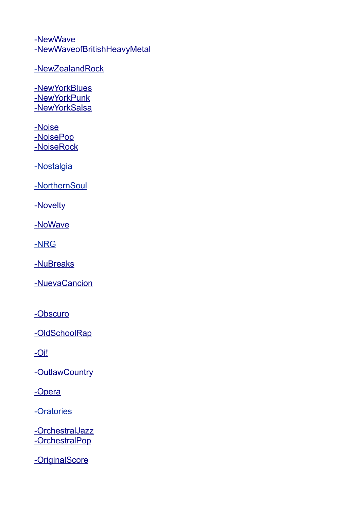[-](http://www.recordsale.de/ger/php/Search.php?media=all&styletext=Madchester&style=564) [NewWave](http://www.recordsale.de/ger/php/Search.php?media=all&styletext=New%20Wave&style=142)  [-](http://www.recordsale.de/ger/php/Search.php?media=all&styletext=Madchester&style=564)[NewWaveofBritishHeavyMetal](http://www.recordsale.de/ger/php/Search.php?media=all&styletext=New%20Wave%20of%20British%20Heavy%20Metal&style=405)

- New Zealand Rock

- New York Blues - New York Punk - New York Salsa

 [-](http://www.recordsale.de/ger/php/Search.php?media=all&styletext=Nostalgia&style=238) [Noise](http://www.recordsale.de/ger/php/Search.php?media=all&styletext=Noise&style=700)  [-](http://www.recordsale.de/ger/php/Search.php?media=all&styletext=Nostalgia&style=238) [NoisePop](http://www.recordsale.de/ger/php/Search.php?media=all&styletext=Noise%20Pop&style=659)  [-](http://www.recordsale.de/ger/php/Search.php?media=all&styletext=Nostalgia&style=238) [NoiseRock](http://www.recordsale.de/ger/php/Search.php?media=all&styletext=Noise-Rock&style=301)

[-Nostalgia](http://www.recordsale.de/ger/php/Search.php?media=all&styletext=Nostalgia&style=238)

[-NorthernSoul](http://www.recordsale.de/ger/php/Search.php?media=all&styletext=Northern%20Soul&style=711)

- [Novelty](http://www.recordsale.de/ger/php/Search.php?media=all&styletext=Novelty&style=279)

 [-](http://www.recordsale.de/ger/php/Search.php?media=all&styletext=Madchester&style=564) [NoWave](http://www.recordsale.de/ger/php/Search.php?media=all&styletext=No%20Wave&style=721)

[-NRG](http://www.recordsale.de/ger/php/Search.php?media=all&styletext=Hi-NRG&style=68)

- Nu Breaks

 [-](http://www.recordsale.de/ger/php/Search.php?media=all&styletext=Memphis%20Soul&style=725) [NuevaCancion](http://www.recordsale.de/ger/php/Search.php?media=all&styletext=Nueva%20Cancion&style=577)

 [-](http://www.recordsale.de/ger/php/Search.php?media=all&styletext=Nueva%20Cancion&style=577) [Obscuro](http://www.recordsale.de/ger/php/Search.php?media=all&styletext=Obscuro&style=645)

-OldSchoolRap

 $-$ Oi!

-OutlawCountry

-Opera

[-Oratories](http://www.recordsale.de/ger/php/Search.php?media=all&styletext=Oratories&style=455)

-OrchestralJazz  [-](http://www.recordsale.de/ger/php/Search.php?media=all&styletext=Nueva%20Cancion&style=577) [OrchestralPop](http://www.recordsale.de/ger/php/Search.php?media=all&styletext=Orchestral%20Pop&style=445)

 [-](http://www.recordsale.de/ger/php/Search.php?media=all&styletext=Nueva%20Cancion&style=577) [OriginalScore](http://www.recordsale.de/ger/php/Search.php?media=all&styletext=Original%20Score&style=364)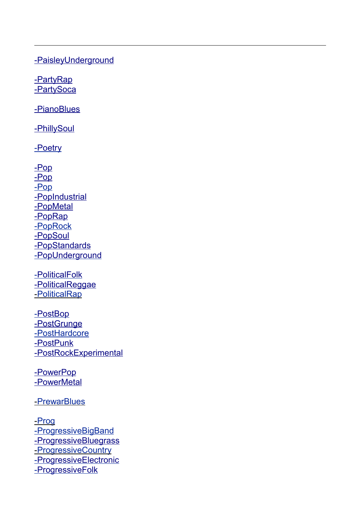[-](http://www.recordsale.de/ger/php/Search.php?media=all&styletext=Nueva%20Cancion&style=577) [PaisleyUnderground](http://www.recordsale.de/ger/php/Search.php?media=all&styletext=Paisley%20Underground&style=217)

-PartyRap -PartySoca

 [-](http://www.recordsale.de/ger/php/Search.php?media=all&styletext=Nueva%20Cancion&style=577) [PianoBlues](http://www.recordsale.de/ger/php/Search.php?media=all&styletext=Piano%20Blues&style=309)

- [PhillySoul](http://www.recordsale.de/ger/php/Search.php?media=all&styletext=Philly%20Soul&style=242)

-Poetry

 [-](http://www.recordsale.de/ger/php/Search.php?media=all&styletext=Nueva%20Cancion&style=577) [Pop](http://www.recordsale.de/ger/php/Search.php?media=all&styletext=Pop&style=53)  [-](http://www.recordsale.de/ger/php/Search.php?media=all&styletext=Pop&style=53) [Pop](http://www.recordsale.de/ger/php/Search.php?media=all&styletext=Euro-Pop&style=140) [-Pop](http://www.recordsale.de/ger/php/Search.php?media=all&styletext=Reggae-Pop&style=353) -PopIndustrial -**PopMetal** -PopRap [-PopRock](http://www.recordsale.de/ger/php/Search.php?media=all&styletext=Pop/Rock&style=55)  [-](http://www.recordsale.de/ger/php/Search.php?media=all&styletext=Traditional%20Pop&style=218) [Pop Soul](http://www.recordsale.de/ger/php/Search.php?media=all&styletext=Pop-Soul&style=334) -PopStandards [- PopUnderground](http://www.recordsale.de/ger/php/Search.php?media=all&styletext=Pop%20Underground&style=699)

 [- PoliticalFolk](http://www.recordsale.de/ger/php/Search.php?media=all&styletext=Political%20Folk&style=262) - Political Reggae [- PoliticalRap](http://www.recordsale.de/ger/php/Search.php?media=all&styletext=Political%20Rap&style=452)

 [- PostBop](http://www.recordsale.de/ger/php/Search.php?media=all&styletext=Post-Bop&style=171)  [-](http://www.recordsale.de/ger/php/Search.php?media=all&styletext=Nueva%20Cancion&style=577) [PostGrunge](http://www.recordsale.de/ger/php/Search.php?media=all&styletext=Post-Grunge&style=58) [-PostHardcore](http://www.recordsale.de/ger/php/Search.php?media=all&styletext=Post-Hardcore&style=669) -PostPunk -PostRockExperimental

- [PowerPop](http://www.recordsale.de/ger/php/Search.php?media=all&styletext=Power%20Pop&style=285)  [-](http://www.recordsale.de/ger/php/Search.php?media=all&styletext=Nueva%20Cancion&style=577) [PowerMetal](http://www.recordsale.de/ger/php/Search.php?media=all&styletext=Power%20Metal&style=559)

[- PrewarBlues](http://www.recordsale.de/ger/php/Search.php?media=all&styletext=Prewar%20Blues&style=883)

 [- Prog](http://www.recordsale.de/ger/php/Search.php?media=all&styletext=Prog-Rock/Art%20Rock&style=56) [-ProgressiveBigBand](http://www.recordsale.de/ger/php/Search.php?media=all&styletext=Progressive%20Big%20Band&style=348)  [-](http://www.recordsale.de/ger/php/Search.php?media=all&styletext=Progressive%20Big%20Band&style=348) [ProgressiveBluegrass](http://www.recordsale.de/ger/php/Search.php?media=all&styletext=Progressive%20Bluegrass&style=708) [- ProgressiveCountry](http://www.recordsale.de/ger/php/Search.php?media=all&styletext=Progressive%20Country&style=502) [-ProgressiveElectronic](http://www.recordsale.de/ger/php/Search.php?media=all&styletext=Progressive%20Electronic&style=472) - Progressive Folk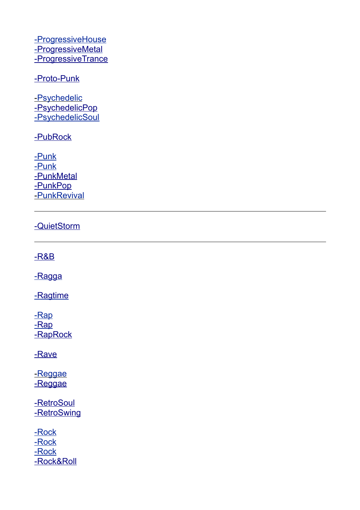[-ProgressiveHouse](http://www.recordsale.de/ger/php/Search.php?media=all&styletext=Progressive%20House&style=379) - Progressive Metal - Progressive Trance

#### [-](http://www.recordsale.de/ger/php/Search.php?media=all&styletext=Nueva%20Cancion&style=577) [Proto-Punk](http://www.recordsale.de/ger/php/Search.php?media=all&styletext=Proto-Punk&style=324)

[- Psychedelic](http://www.recordsale.de/ger/php/Search.php?media=all&styletext=Psychedelic&style=229) - Psychedelic Pop [-PsychedelicSoul](http://www.recordsale.de/ger/php/Search.php?media=all&styletext=Psychedelic%20Soul&style=413)

-**PubRock** 

[-Punk](http://www.recordsale.de/ger/php/Search.php?media=all&styletext=Punk&style=251) [-Punk](http://www.recordsale.de/ger/php/Search.php?media=all&styletext=Ska-Punk&style=815) - [PunkMetal](http://www.recordsale.de/ger/php/Search.php?media=all&styletext=Punk%20Metal&style=161) - [Punk Pop](http://www.recordsale.de/ger/php/Search.php?media=all&styletext=Punk-Pop&style=614) [- PunkRevival](http://www.recordsale.de/ger/php/Search.php?media=all&styletext=Punk%20Revival&style=252)

# - [QuietStorm](http://www.recordsale.de/ger/php/Search.php?media=all&styletext=Quiet%20Storm&style=186)

 [-](http://www.recordsale.de/ger/php/Search.php?media=all&styletext=Nueva%20Cancion&style=577) [R&B](http://www.recordsale.de/ger/php/Search.php?media=all&styletext=R&B&style=198)

-Ragga

-Ragtime

[-Rap](http://www.recordsale.de/ger/php/Search.php?media=all&styletext=Rap&style=131) -Rap -RapRock

 [-](http://www.recordsale.de/ger/php/Search.php?media=all&styletext=Nueva%20Cancion&style=577) [Rave](http://www.recordsale.de/ger/php/Search.php?media=all&styletext=Rave&style=123)

-Reggae -Reggae

- [Retro Soul](http://www.recordsale.de/ger/php/Search.php?media=all&styletext=Retro-Soul&style=273) -RetroSwing

[-Rock](http://www.recordsale.de/ger/php/Search.php?media=all&styletext=Rock&style=41) [-Rock](http://www.recordsale.de/ger/php/Search.php?media=all&styletext=Country-Rock&style=263) [-Rock](http://www.recordsale.de/ger/php/Search.php?media=all&styletext=Alternative%20Country-Rock&style=607)  [-](http://www.recordsale.de/ger/php/Search.php?media=all&styletext=Nueva%20Cancion&style=577) [Rock&Roll](http://www.recordsale.de/ger/php/Search.php?media=all&styletext=Rock%20&%20Roll&style=174)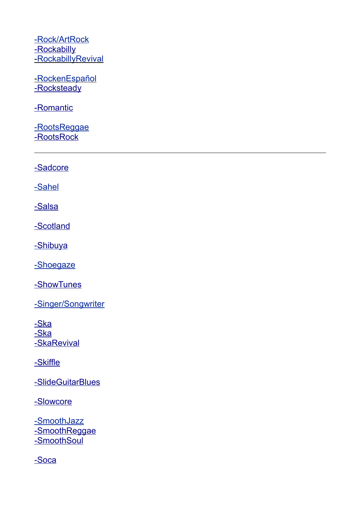[-Rock/ArtRock](http://www.recordsale.de/ger/php/Search.php?media=all&styletext=Prog-Rock/Art%20Rock&style=56) -Rockabilly - Rockabilly Revival

- Rocken Español -Rocksteady

- [Romantic](http://www.recordsale.de/ger/php/Search.php?media=all&styletext=Romantic&style=388)

[-RootsReggae](http://www.recordsale.de/ger/php/Search.php?media=all&styletext=Roots%20Reggae&style=265)  [-](http://www.recordsale.de/ger/php/Search.php?media=all&styletext=Nueva%20Cancion&style=577) [RootsRock](http://www.recordsale.de/ger/php/Search.php?media=all&styletext=Roots%20Rock&style=314)

 [-](http://www.recordsale.de/ger/php/Search.php?media=all&styletext=Nueva%20Cancion&style=577) [Sadcore](http://www.recordsale.de/ger/php/Search.php?media=all&styletext=Sadcore&style=809)

[-Sahel](http://www.recordsale.de/ger/php/Search.php?media=all&styletext=Sahel&style=609)

 [-](http://www.recordsale.de/ger/php/Search.php?media=all&styletext=Synth%20Pop&style=143) [Salsa](http://www.recordsale.de/ger/php/Search.php?media=all&styletext=Salsa&style=766)

 [-](http://www.recordsale.de/ger/php/Search.php?media=all&styletext=Synth%20Pop&style=143) [Scotland](http://www.recordsale.de/ger/php/Search.php?media=all&styletext=Scotland&style=378)

[- Shibuya](http://www.recordsale.de/ger/php/Search.php?media=all&styletext=Shibuya-Kei&style=464)

[-Shoegaze](http://www.recordsale.de/ger/php/Search.php?media=all&styletext=Shoegaze&style=169)

 [-](http://www.recordsale.de/ger/php/Search.php?media=all&styletext=Nueva%20Cancion&style=577) [ShowTunes](http://www.recordsale.de/ger/php/Search.php?media=all&styletext=Show%20Tunes&style=178)

[-Singer/Songwriter](http://www.recordsale.de/ger/php/Search.php?media=all&styletext=Singer/Songwriter&style=60)

-Ska -Ska - [SkaRevival](http://www.recordsale.de/ger/php/Search.php?media=all&styletext=Ska%20Revival&style=591)

 [-](http://www.recordsale.de/ger/php/Search.php?media=all&styletext=Nueva%20Cancion&style=577) [Skiffle](http://www.recordsale.de/ger/php/Search.php?media=all&styletext=Skiffle&style=674)

 [-](http://www.recordsale.de/ger/php/Search.php?media=all&styletext=Nueva%20Cancion&style=577) [SlideGuitarBlues](http://www.recordsale.de/ger/php/Search.php?media=all&styletext=Slide%20Guitar%20Blues&style=359)

 [-](http://www.recordsale.de/ger/php/Search.php?media=all&styletext=Nueva%20Cancion&style=577) [Slowcore](http://www.recordsale.de/ger/php/Search.php?media=all&styletext=Slowcore&style=810)

[-SmoothJazz](http://www.recordsale.de/ger/php/Search.php?media=all&styletext=Smooth%20Jazz&style=418) -SmoothReggae  [-](http://www.recordsale.de/ger/php/Search.php?media=all&styletext=Nueva%20Cancion&style=577) [SmoothSoul](http://www.recordsale.de/ger/php/Search.php?media=all&styletext=Smooth%20Soul&style=222)

 [-](http://www.recordsale.de/ger/php/Search.php?media=all&styletext=Nueva%20Cancion&style=577) [Soca](http://www.recordsale.de/ger/php/Search.php?media=all&styletext=Soca&style=412)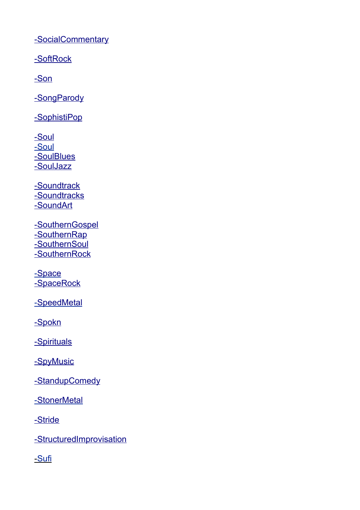-SocialCommentary

 [-](http://www.recordsale.de/ger/php/Search.php?media=all&styletext=Nueva%20Cancion&style=577) [SoftRock](http://www.recordsale.de/ger/php/Search.php?media=all&styletext=Soft%20Rock&style=52)

 [-](http://www.recordsale.de/ger/php/Search.php?media=all&styletext=Spirituals&style=592) [Son](http://www.recordsale.de/ger/php/Search.php?media=all&styletext=Son&style=615)

-SongParody

-SophistiPop

 [-](http://www.recordsale.de/ger/php/Search.php?media=all&styletext=Nueva%20Cancion&style=577) [Soul](http://www.recordsale.de/ger/php/Search.php?media=all&styletext=Soul&style=166) [-Soul](http://www.recordsale.de/ger/php/Search.php?media=all&styletext=Neo-Soul&style=500) -SoulBlues -SoulJazz

-Soundtrack  [-](http://www.recordsale.de/ger/php/Search.php?media=all&styletext=Soundtrack&style=144) [Soundtracks](http://www.recordsale.de/ger/php/Search.php?media=all&styletext=Soundtracks&style=365)  [-](http://www.recordsale.de/ger/php/Search.php?media=all&styletext=Soundtrack&style=144) [SoundArt](http://www.recordsale.de/ger/php/Search.php?media=all&styletext=Sound%20Art&style=760)

 [-](http://www.recordsale.de/ger/php/Search.php?media=all&styletext=Synth%20Pop&style=143) [SouthernGospel](http://www.recordsale.de/ger/php/Search.php?media=all&styletext=Southern%20Gospel&style=881) -SouthernRap -SouthernSoul  [-](http://www.recordsale.de/ger/php/Search.php?media=all&styletext=Southern%20Soul&style=185) [SouthernRock](http://www.recordsale.de/ger/php/Search.php?media=all&styletext=Southern%20Rock&style=527)

 [- Space](http://www.recordsale.de/ger/php/Search.php?media=all&styletext=Space&style=753) -SpaceRock

-SpeedMetal

 [-](http://www.recordsale.de/ger/php/Search.php?media=all&styletext=Soundtrack&style=144) [Spokn](http://www.recordsale.de/ger/php/Search.php?media=all&styletext=Spokn&style=486)

-Spirituals

-SpyMusic

-StandupComedy

 [-](http://www.recordsale.de/ger/php/Search.php?media=all&styletext=Space&style=753) [Stoner Metal](http://www.recordsale.de/ger/php/Search.php?media=all&styletext=Stoner%20Metal&style=650)

-Stride

-StructuredImprovisation

[- Sufi](http://www.recordsale.de/ger/php/Search.php?media=all&styletext=Sufi&style=653)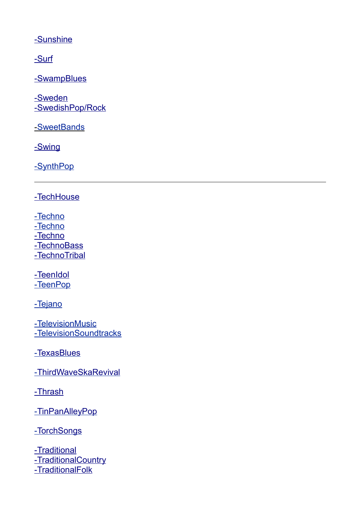[-](http://www.recordsale.de/ger/php/Search.php?media=all&styletext=Soundtrack&style=144) [Sunshine](http://www.recordsale.de/ger/php/Search.php?media=all&styletext=Sunshine%20Pop&style=529)

 [-](http://www.recordsale.de/ger/php/Search.php?media=all&styletext=Soundtrack&style=144) [Surf](http://www.recordsale.de/ger/php/Search.php?media=all&styletext=Surf&style=670)

- Swamp Blues

 [-](http://www.recordsale.de/ger/php/Search.php?media=all&styletext=Spirituals&style=592) [Sweden](http://www.recordsale.de/ger/php/Search.php?media=all&styletext=Sweden&style=687) [-SwedishPop/Rock](http://www.recordsale.de/ger/php/Search.php?media=all&styletext=Swedish%20Pop/Rock&style=139)

[- SweetBands](http://www.recordsale.de/ger/php/Search.php?media=all&styletext=Sweet%20Bands&style=235)

 [-](http://www.recordsale.de/ger/php/Search.php?media=all&styletext=Synth%20Pop&style=143) [Swing](http://www.recordsale.de/ger/php/Search.php?media=all&styletext=Swing&style=236)

[-SynthPop](http://www.recordsale.de/ger/php/Search.php?media=all&styletext=Synth%20Pop&style=143)

 [-](http://www.recordsale.de/ger/php/Search.php?media=all&styletext=Space%20Rock&style=421) [Tech House](http://www.recordsale.de/ger/php/Search.php?media=all&styletext=Tech-House&style=648)

[-Techno](http://www.recordsale.de/ger/php/Search.php?media=all&styletext=Techno&style=62) [-Techno](http://www.recordsale.de/ger/php/Search.php?media=all&styletext=Electro-Techno&style=465)  [-](http://www.recordsale.de/ger/php/Search.php?media=all&styletext=Space%20Rock&style=421) [Techno](http://www.recordsale.de/ger/php/Search.php?media=all&styletext=Techno-Dub&style=779) - [TechnoBass](http://www.recordsale.de/ger/php/Search.php?media=all&styletext=Techno%20Bass&style=945)  [-](http://www.recordsale.de/ger/php/Search.php?media=all&styletext=Space%20Rock&style=421) [TechnoTribal](http://www.recordsale.de/ger/php/Search.php?media=all&styletext=Techno-Tribal&style=823)

 [-](http://www.recordsale.de/ger/php/Search.php?media=all&styletext=Space%20Rock&style=421) [TeenIdol](http://www.recordsale.de/ger/php/Search.php?media=all&styletext=Teen%20Idol&style=317) [-TeenPop](http://www.recordsale.de/ger/php/Search.php?media=all&styletext=Teen%20Pop&style=202)

[-Tejano](http://www.recordsale.de/ger/php/Search.php?media=all&styletext=Tejano&style=693)

[-TelevisionMusic](http://www.recordsale.de/ger/php/Search.php?media=all&styletext=Television%20Music&style=743) [-TelevisionSoundtracks](http://www.recordsale.de/ger/php/Search.php?media=all&styletext=Television%20Soundtracks&style=804)

[- TexasBlues](http://www.recordsale.de/ger/php/Search.php?media=all&styletext=Texas%20Blues&style=274)

[- ThirdWaveSkaRevival](http://www.recordsale.de/ger/php/Search.php?media=all&styletext=Third%20Wave%20Ska%20Revival&style=818)

 [-](http://www.recordsale.de/ger/php/Search.php?media=all&styletext=Space%20Rock&style=421) [Thrash](http://www.recordsale.de/ger/php/Search.php?media=all&styletext=Thrash&style=521)

[- TinPanAlleyPop](http://www.recordsale.de/ger/php/Search.php?media=all&styletext=Tin%20Pan%20Alley%20Pop&style=243)

[- TorchSongs](http://www.recordsale.de/ger/php/Search.php?media=all&styletext=Torch%20Songs&style=239)

- [Traditional](http://www.recordsale.de/ger/php/Search.php?media=all&styletext=Traditional%20Pop&style=218)  [-](http://www.recordsale.de/ger/php/Search.php?media=all&styletext=Traditional%20Pop&style=218) [TraditionalCountry](http://www.recordsale.de/ger/php/Search.php?media=all&styletext=Traditional%20Country&style=435)  [-](http://www.recordsale.de/ger/php/Search.php?media=all&styletext=Neo-Traditional%20Folk&style=635) [TraditionalFolk](http://www.recordsale.de/ger/php/Search.php?media=all&styletext=Traditional%20Folk&style=429)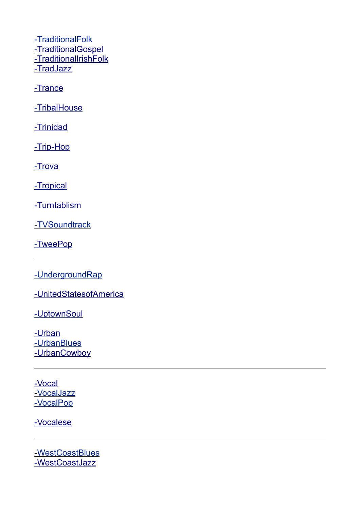[-TraditionalFolk](http://www.recordsale.de/ger/php/Search.php?media=all&styletext=Neo-Traditional%20Folk&style=635)  [-](http://www.recordsale.de/ger/php/Search.php?media=all&styletext=Traditional%20Pop&style=218) [TraditionalGospel](http://www.recordsale.de/ger/php/Search.php?media=all&styletext=Traditional%20Gospel&style=593)  [-](http://www.recordsale.de/ger/php/Search.php?media=all&styletext=Traditional%20Gospel&style=593) [TraditionalIrishFolk](http://www.recordsale.de/ger/php/Search.php?media=all&styletext=Traditional%20Irish%20Folk&style=395)  [-](http://www.recordsale.de/ger/php/Search.php?media=all&styletext=Traditional%20Irish%20Folk&style=395) [TradJazz](http://www.recordsale.de/ger/php/Search.php?media=all&styletext=Trad%20Jazz&style=401)

- [Trance](http://www.recordsale.de/ger/php/Search.php?media=all&styletext=Trance&style=333)

- [Tribal House](http://www.recordsale.de/ger/php/Search.php?media=all&styletext=Tribal-House&style=574)

 [-](http://www.recordsale.de/ger/php/Search.php?media=all&styletext=Space%20Rock&style=421) [Trinidad](http://www.recordsale.de/ger/php/Search.php?media=all&styletext=Trinidad&style=409)

 [-](http://www.recordsale.de/ger/php/Search.php?media=all&styletext=Space%20Rock&style=421) [Trip-Hop](http://www.recordsale.de/ger/php/Search.php?media=all&styletext=Trip-Hop&style=148)

[- Trova](http://www.recordsale.de/ger/php/Search.php?media=all&styletext=Trova&style=616)

[- Tropical](http://www.recordsale.de/ger/php/Search.php?media=all&styletext=Tropical&style=618)

 [-](http://www.recordsale.de/ger/php/Search.php?media=all&styletext=Space%20Rock&style=421) [Turntablism](http://www.recordsale.de/ger/php/Search.php?media=all&styletext=Turntablism&style=282)

[- TVSoundtrack](http://www.recordsale.de/ger/php/Search.php?media=all&styletext=TV%20Soundtrack&style=910)

[- TweePop](http://www.recordsale.de/ger/php/Search.php?media=all&styletext=Twee%20Pop&style=394)

[-UndergroundRap](http://www.recordsale.de/ger/php/Search.php?media=all&styletext=Underground%20Rap&style=381)

 [-](http://www.recordsale.de/ger/php/Search.php?media=all&styletext=Urban&style=133) [UnitedStatesofAmerica](http://www.recordsale.de/ger/php/Search.php?media=all&styletext=United%20States%20of%20America&style=284)

-UptownSoul

-Urban [-UrbanBlues](http://www.recordsale.de/ger/php/Search.php?media=all&styletext=Urban%20Blues&style=550) -UrbanCowboy

 [-](http://www.recordsale.de/ger/php/Search.php?media=all&styletext=Space%20Rock&style=421) [Vocal](http://www.recordsale.de/ger/php/Search.php?media=all&styletext=Vocal&style=54) [- VocalJazz](http://www.recordsale.de/ger/php/Search.php?media=all&styletext=Vocal%20Jazz&style=50) [-VocalPop](http://www.recordsale.de/ger/php/Search.php?media=all&styletext=Vocal%20Pop&style=323)

 [-](http://www.recordsale.de/ger/php/Search.php?media=all&styletext=Space%20Rock&style=421) [Vocalese](http://www.recordsale.de/ger/php/Search.php?media=all&styletext=Vocalese&style=887)

 [- WestCoastBlues](http://www.recordsale.de/ger/php/Search.php?media=all&styletext=West%20Coast%20Blues&style=484)  [-](http://www.recordsale.de/ger/php/Search.php?media=all&styletext=Space%20Rock&style=421) [WestCoastJazz](http://www.recordsale.de/ger/php/Search.php?media=all&styletext=West%20Coast%20Jazz&style=769)